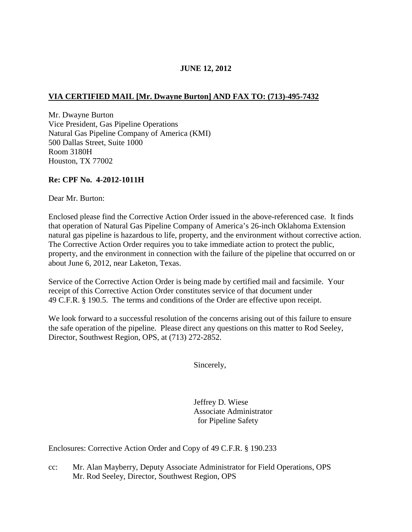# **JUNE 12, 2012**

## **VIA CERTIFIED MAIL [Mr. Dwayne Burton] AND FAX TO: (713)-495-7432**

Mr. Dwayne Burton Vice President, Gas Pipeline Operations Natural Gas Pipeline Company of America (KMI) 500 Dallas Street, Suite 1000 Room 3180H Houston, TX 77002

### **Re: CPF No. 4-2012-1011H**

Dear Mr. Burton:

Enclosed please find the Corrective Action Order issued in the above-referenced case. It finds that operation of Natural Gas Pipeline Company of America's 26-inch Oklahoma Extension natural gas pipeline is hazardous to life, property, and the environment without corrective action. The Corrective Action Order requires you to take immediate action to protect the public, property, and the environment in connection with the failure of the pipeline that occurred on or about June 6, 2012, near Laketon, Texas.

Service of the Corrective Action Order is being made by certified mail and facsimile. Your receipt of this Corrective Action Order constitutes service of that document under 49 C.F.R. § 190.5. The terms and conditions of the Order are effective upon receipt.

We look forward to a successful resolution of the concerns arising out of this failure to ensure the safe operation of the pipeline. Please direct any questions on this matter to Rod Seeley, Director, Southwest Region, OPS, at (713) 272-2852.

Sincerely,

Jeffrey D. Wiese Associate Administrator for Pipeline Safety

Enclosures: Corrective Action Order and Copy of 49 C.F.R. § 190.233

cc: Mr. Alan Mayberry, Deputy Associate Administrator for Field Operations, OPS Mr. Rod Seeley, Director, Southwest Region, OPS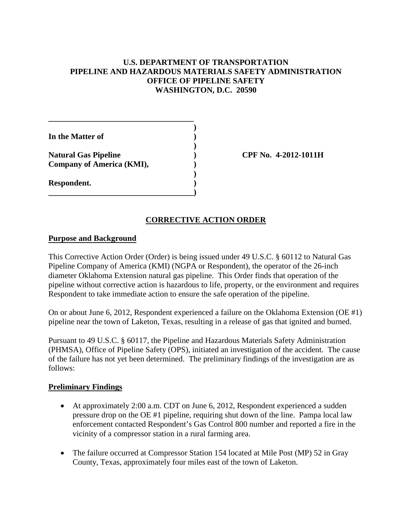## **U.S. DEPARTMENT OF TRANSPORTATION PIPELINE AND HAZARDOUS MATERIALS SAFETY ADMINISTRATION OFFICE OF PIPELINE SAFETY WASHINGTON, D.C. 20590**

**)**

**)**

**)**

**In the Matter of ) Natural Gas Pipeline ) CPF No. 4-2012-1011H Company of America (KMI), ) Respondent. ) \_\_\_\_\_\_\_\_\_\_\_\_\_\_\_\_\_\_\_\_\_\_\_\_\_\_\_\_\_\_\_\_\_\_\_\_)**

**\_\_\_\_\_\_\_\_\_\_\_\_\_\_\_\_\_\_\_\_\_\_\_\_\_\_\_\_\_\_\_\_\_\_\_\_**

## **CORRECTIVE ACTION ORDER**

### **Purpose and Background**

This Corrective Action Order (Order) is being issued under 49 U.S.C. § 60112 to Natural Gas Pipeline Company of America (KMI) (NGPA or Respondent), the operator of the 26-inch diameter Oklahoma Extension natural gas pipeline. This Order finds that operation of the pipeline without corrective action is hazardous to life, property, or the environment and requires Respondent to take immediate action to ensure the safe operation of the pipeline.

On or about June 6, 2012, Respondent experienced a failure on the Oklahoma Extension (OE #1) pipeline near the town of Laketon, Texas, resulting in a release of gas that ignited and burned.

Pursuant to 49 U.S.C. § 60117, the Pipeline and Hazardous Materials Safety Administration (PHMSA), Office of Pipeline Safety (OPS), initiated an investigation of the accident. The cause of the failure has not yet been determined. The preliminary findings of the investigation are as follows:

### **Preliminary Findings**

- At approximately 2:00 a.m. CDT on June 6, 2012, Respondent experienced a sudden pressure drop on the OE #1 pipeline, requiring shut down of the line. Pampa local law enforcement contacted Respondent's Gas Control 800 number and reported a fire in the vicinity of a compressor station in a rural farming area.
- The failure occurred at Compressor Station 154 located at Mile Post (MP) 52 in Gray County, Texas, approximately four miles east of the town of Laketon.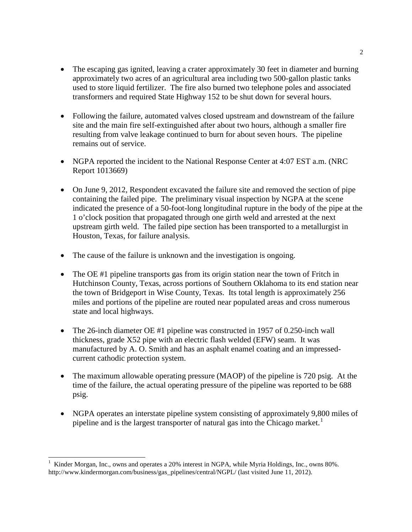- The escaping gas ignited, leaving a crater approximately 30 feet in diameter and burning approximately two acres of an agricultural area including two 500-gallon plastic tanks used to store liquid fertilizer. The fire also burned two telephone poles and associated transformers and required State Highway 152 to be shut down for several hours.
- Following the failure, automated valves closed upstream and downstream of the failure site and the main fire self-extinguished after about two hours, although a smaller fire resulting from valve leakage continued to burn for about seven hours. The pipeline remains out of service.
- NGPA reported the incident to the National Response Center at 4:07 EST a.m. (NRC Report 1013669)
- On June 9, 2012, Respondent excavated the failure site and removed the section of pipe containing the failed pipe. The preliminary visual inspection by NGPA at the scene indicated the presence of a 50-foot-long longitudinal rupture in the body of the pipe at the 1 o'clock position that propagated through one girth weld and arrested at the next upstream girth weld. The failed pipe section has been transported to a metallurgist in Houston, Texas, for failure analysis.
- The cause of the failure is unknown and the investigation is ongoing.
- The OE #1 pipeline transports gas from its origin station near the town of Fritch in Hutchinson County, Texas, across portions of Southern Oklahoma to its end station near the town of Bridgeport in Wise County, Texas. Its total length is approximately 256 miles and portions of the pipeline are routed near populated areas and cross numerous state and local highways.
- The 26-inch diameter OE #1 pipeline was constructed in 1957 of 0.250-inch wall thickness, grade X52 pipe with an electric flash welded (EFW) seam. It was manufactured by A. O. Smith and has an asphalt enamel coating and an impressedcurrent cathodic protection system.
- The maximum allowable operating pressure (MAOP) of the pipeline is 720 psig. At the time of the failure, the actual operating pressure of the pipeline was reported to be 688 psig.
- NGPA operates an interstate pipeline system consisting of approximately 9,800 miles of pipeline and is the largest transporter of natural gas into the Chicago market.<sup>[1](#page-2-0)</sup>

<span id="page-2-0"></span><sup>&</sup>lt;sup>1</sup> Kinder Morgan, Inc., owns and operates a 20% interest in NGPA, while Myria Holdings, Inc., owns 80%. http://www.kindermorgan.com/business/gas\_pipelines/central/NGPL/ (last visited June 11, 2012).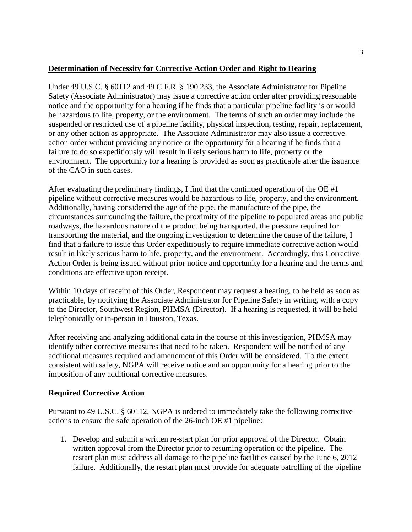## **Determination of Necessity for Corrective Action Order and Right to Hearing**

Under 49 U.S.C. § 60112 and 49 C.F.R. § 190.233, the Associate Administrator for Pipeline Safety (Associate Administrator) may issue a corrective action order after providing reasonable notice and the opportunity for a hearing if he finds that a particular pipeline facility is or would be hazardous to life, property, or the environment. The terms of such an order may include the suspended or restricted use of a pipeline facility, physical inspection, testing, repair, replacement, or any other action as appropriate. The Associate Administrator may also issue a corrective action order without providing any notice or the opportunity for a hearing if he finds that a failure to do so expeditiously will result in likely serious harm to life, property or the environment. The opportunity for a hearing is provided as soon as practicable after the issuance of the CAO in such cases.

After evaluating the preliminary findings, I find that the continued operation of the OE  $#1$ pipeline without corrective measures would be hazardous to life, property, and the environment. Additionally, having considered the age of the pipe, the manufacture of the pipe, the circumstances surrounding the failure, the proximity of the pipeline to populated areas and public roadways, the hazardous nature of the product being transported, the pressure required for transporting the material, and the ongoing investigation to determine the cause of the failure, I find that a failure to issue this Order expeditiously to require immediate corrective action would result in likely serious harm to life, property, and the environment. Accordingly, this Corrective Action Order is being issued without prior notice and opportunity for a hearing and the terms and conditions are effective upon receipt.

Within 10 days of receipt of this Order, Respondent may request a hearing, to be held as soon as practicable, by notifying the Associate Administrator for Pipeline Safety in writing, with a copy to the Director, Southwest Region, PHMSA (Director). If a hearing is requested, it will be held telephonically or in-person in Houston, Texas.

After receiving and analyzing additional data in the course of this investigation, PHMSA may identify other corrective measures that need to be taken. Respondent will be notified of any additional measures required and amendment of this Order will be considered. To the extent consistent with safety, NGPA will receive notice and an opportunity for a hearing prior to the imposition of any additional corrective measures.

### **Required Corrective Action**

Pursuant to 49 U.S.C. § 60112, NGPA is ordered to immediately take the following corrective actions to ensure the safe operation of the 26-inch OE #1 pipeline:

1. Develop and submit a written re-start plan for prior approval of the Director. Obtain written approval from the Director prior to resuming operation of the pipeline. The restart plan must address all damage to the pipeline facilities caused by the June 6, 2012 failure. Additionally, the restart plan must provide for adequate patrolling of the pipeline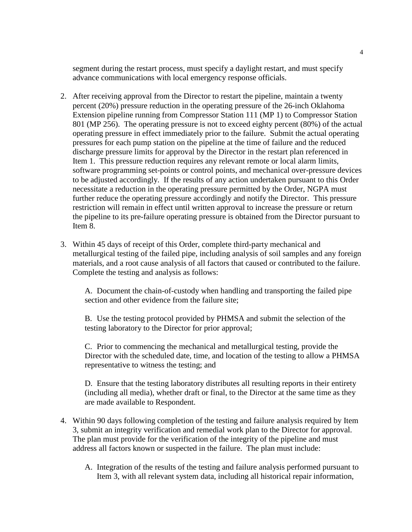segment during the restart process, must specify a daylight restart, and must specify advance communications with local emergency response officials.

- 2. After receiving approval from the Director to restart the pipeline, maintain a twenty percent (20%) pressure reduction in the operating pressure of the 26-inch Oklahoma Extension pipeline running from Compressor Station 111 (MP 1) to Compressor Station 801 (MP 256). The operating pressure is not to exceed eighty percent (80%) of the actual operating pressure in effect immediately prior to the failure. Submit the actual operating pressures for each pump station on the pipeline at the time of failure and the reduced discharge pressure limits for approval by the Director in the restart plan referenced in Item 1. This pressure reduction requires any relevant remote or local alarm limits, software programming set-points or control points, and mechanical over-pressure devices to be adjusted accordingly. If the results of any action undertaken pursuant to this Order necessitate a reduction in the operating pressure permitted by the Order, NGPA must further reduce the operating pressure accordingly and notify the Director. This pressure restriction will remain in effect until written approval to increase the pressure or return the pipeline to its pre-failure operating pressure is obtained from the Director pursuant to Item 8.
- 3. Within 45 days of receipt of this Order, complete third-party mechanical and metallurgical testing of the failed pipe, including analysis of soil samples and any foreign materials, and a root cause analysis of all factors that caused or contributed to the failure. Complete the testing and analysis as follows:

A. Document the chain-of-custody when handling and transporting the failed pipe section and other evidence from the failure site;

B. Use the testing protocol provided by PHMSA and submit the selection of the testing laboratory to the Director for prior approval;

C. Prior to commencing the mechanical and metallurgical testing, provide the Director with the scheduled date, time, and location of the testing to allow a PHMSA representative to witness the testing; and

D. Ensure that the testing laboratory distributes all resulting reports in their entirety (including all media), whether draft or final, to the Director at the same time as they are made available to Respondent.

- 4. Within 90 days following completion of the testing and failure analysis required by Item 3, submit an integrity verification and remedial work plan to the Director for approval. The plan must provide for the verification of the integrity of the pipeline and must address all factors known or suspected in the failure. The plan must include:
	- A. Integration of the results of the testing and failure analysis performed pursuant to Item 3, with all relevant system data, including all historical repair information,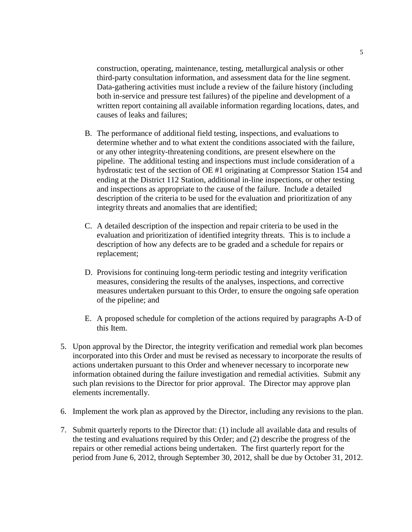construction, operating, maintenance, testing, metallurgical analysis or other third-party consultation information, and assessment data for the line segment. Data-gathering activities must include a review of the failure history (including both in-service and pressure test failures) of the pipeline and development of a written report containing all available information regarding locations, dates, and causes of leaks and failures;

- B. The performance of additional field testing, inspections, and evaluations to determine whether and to what extent the conditions associated with the failure, or any other integrity-threatening conditions, are present elsewhere on the pipeline. The additional testing and inspections must include consideration of a hydrostatic test of the section of OE #1 originating at Compressor Station 154 and ending at the District 112 Station, additional in-line inspections, or other testing and inspections as appropriate to the cause of the failure. Include a detailed description of the criteria to be used for the evaluation and prioritization of any integrity threats and anomalies that are identified;
- C. A detailed description of the inspection and repair criteria to be used in the evaluation and prioritization of identified integrity threats. This is to include a description of how any defects are to be graded and a schedule for repairs or replacement;
- D. Provisions for continuing long-term periodic testing and integrity verification measures, considering the results of the analyses, inspections, and corrective measures undertaken pursuant to this Order, to ensure the ongoing safe operation of the pipeline; and
- E. A proposed schedule for completion of the actions required by paragraphs A-D of this Item.
- 5. Upon approval by the Director, the integrity verification and remedial work plan becomes incorporated into this Order and must be revised as necessary to incorporate the results of actions undertaken pursuant to this Order and whenever necessary to incorporate new information obtained during the failure investigation and remedial activities. Submit any such plan revisions to the Director for prior approval. The Director may approve plan elements incrementally.
- 6. Implement the work plan as approved by the Director, including any revisions to the plan.
- 7. Submit quarterly reports to the Director that: (1) include all available data and results of the testing and evaluations required by this Order; and (2) describe the progress of the repairs or other remedial actions being undertaken. The first quarterly report for the period from June 6, 2012, through September 30, 2012, shall be due by October 31, 2012.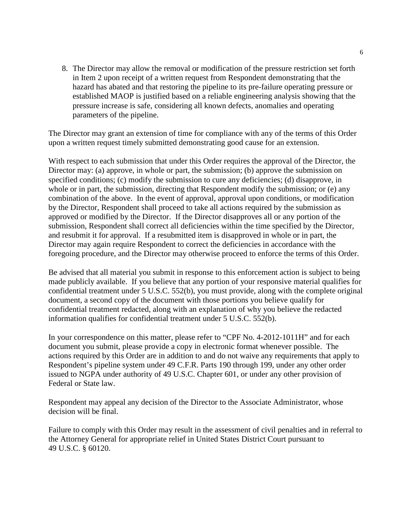8. The Director may allow the removal or modification of the pressure restriction set forth in Item 2 upon receipt of a written request from Respondent demonstrating that the hazard has abated and that restoring the pipeline to its pre-failure operating pressure or established MAOP is justified based on a reliable engineering analysis showing that the pressure increase is safe, considering all known defects, anomalies and operating parameters of the pipeline.

The Director may grant an extension of time for compliance with any of the terms of this Order upon a written request timely submitted demonstrating good cause for an extension.

With respect to each submission that under this Order requires the approval of the Director, the Director may: (a) approve, in whole or part, the submission; (b) approve the submission on specified conditions; (c) modify the submission to cure any deficiencies; (d) disapprove, in whole or in part, the submission, directing that Respondent modify the submission; or (e) any combination of the above. In the event of approval, approval upon conditions, or modification by the Director, Respondent shall proceed to take all actions required by the submission as approved or modified by the Director. If the Director disapproves all or any portion of the submission, Respondent shall correct all deficiencies within the time specified by the Director, and resubmit it for approval. If a resubmitted item is disapproved in whole or in part, the Director may again require Respondent to correct the deficiencies in accordance with the foregoing procedure, and the Director may otherwise proceed to enforce the terms of this Order.

Be advised that all material you submit in response to this enforcement action is subject to being made publicly available. If you believe that any portion of your responsive material qualifies for confidential treatment under 5 U.S.C. 552(b), you must provide, along with the complete original document, a second copy of the document with those portions you believe qualify for confidential treatment redacted, along with an explanation of why you believe the redacted information qualifies for confidential treatment under 5 U.S.C. 552(b).

In your correspondence on this matter, please refer to "CPF No. 4-2012-1011H" and for each document you submit, please provide a copy in electronic format whenever possible. The actions required by this Order are in addition to and do not waive any requirements that apply to Respondent's pipeline system under 49 C.F.R. Parts 190 through 199, under any other order issued to NGPA under authority of 49 U.S.C. Chapter 601, or under any other provision of Federal or State law.

Respondent may appeal any decision of the Director to the Associate Administrator, whose decision will be final.

Failure to comply with this Order may result in the assessment of civil penalties and in referral to the Attorney General for appropriate relief in United States District Court pursuant to 49 U.S.C. § 60120.